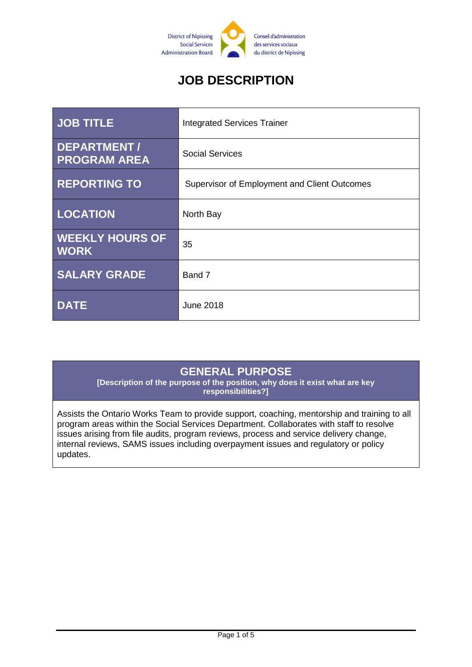

# **JOB DESCRIPTION**

| <b>JOB TITLE</b>                      | <b>Integrated Services Trainer</b>           |
|---------------------------------------|----------------------------------------------|
| DEPARTMENT /<br><b>PROGRAM AREA</b>   | <b>Social Services</b>                       |
| <b>REPORTING TO</b>                   | Supervisor of Employment and Client Outcomes |
| <b>LOCATION</b>                       | North Bay                                    |
| <b>WEEKLY HOURS OF</b><br><b>WORK</b> | 35                                           |
| <b>SALARY GRADE</b>                   | Band 7                                       |
| <b>DATE</b>                           | <b>June 2018</b>                             |

### **GENERAL PURPOSE**

**[Description of the purpose of the position, why does it exist what are key responsibilities?]**

Assists the Ontario Works Team to provide support, coaching, mentorship and training to all program areas within the Social Services Department. Collaborates with staff to resolve issues arising from file audits, program reviews, process and service delivery change, internal reviews, SAMS issues including overpayment issues and regulatory or policy updates.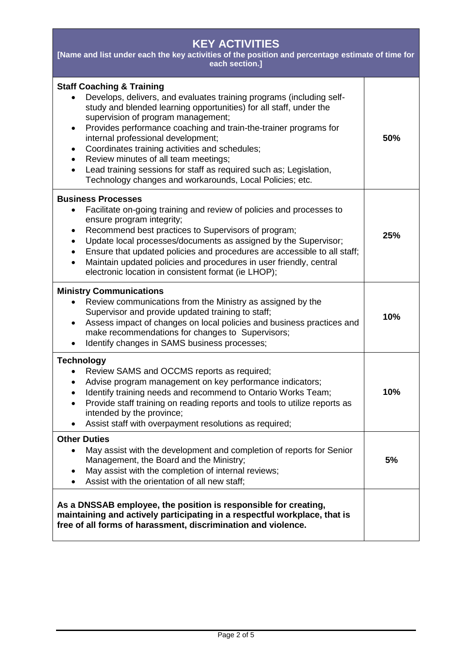| <b>KEY ACTIVITIES</b><br>[Name and list under each the key activities of the position and percentage estimate of time for<br>each section.]                                                                                                                                                                                                                                                                                                                                                                                                                              |     |  |
|--------------------------------------------------------------------------------------------------------------------------------------------------------------------------------------------------------------------------------------------------------------------------------------------------------------------------------------------------------------------------------------------------------------------------------------------------------------------------------------------------------------------------------------------------------------------------|-----|--|
| <b>Staff Coaching &amp; Training</b><br>Develops, delivers, and evaluates training programs (including self-<br>study and blended learning opportunities) for all staff, under the<br>supervision of program management;<br>Provides performance coaching and train-the-trainer programs for<br>٠<br>internal professional development;<br>Coordinates training activities and schedules;<br>٠<br>Review minutes of all team meetings;<br>Lead training sessions for staff as required such as; Legislation,<br>Technology changes and workarounds, Local Policies; etc. | 50% |  |
| <b>Business Processes</b><br>Facilitate on-going training and review of policies and processes to<br>٠<br>ensure program integrity;<br>Recommend best practices to Supervisors of program;<br>٠<br>Update local processes/documents as assigned by the Supervisor;<br>$\bullet$<br>Ensure that updated policies and procedures are accessible to all staff;<br>Maintain updated policies and procedures in user friendly, central<br>electronic location in consistent format (ie LHOP);                                                                                 | 25% |  |
| <b>Ministry Communications</b><br>Review communications from the Ministry as assigned by the<br>Supervisor and provide updated training to staff;<br>Assess impact of changes on local policies and business practices and<br>$\bullet$<br>make recommendations for changes to Supervisors;<br>Identify changes in SAMS business processes;                                                                                                                                                                                                                              | 10% |  |
| <b>Technology</b><br>Review SAMS and OCCMS reports as required;<br>Advise program management on key performance indicators;<br>Identify training needs and recommend to Ontario Works Team;<br>Provide staff training on reading reports and tools to utilize reports as<br>intended by the province;<br>Assist staff with overpayment resolutions as required;                                                                                                                                                                                                          | 10% |  |
| <b>Other Duties</b><br>May assist with the development and completion of reports for Senior<br>$\bullet$<br>Management, the Board and the Ministry;<br>May assist with the completion of internal reviews;<br>Assist with the orientation of all new staff;                                                                                                                                                                                                                                                                                                              | 5%  |  |
| As a DNSSAB employee, the position is responsible for creating,<br>maintaining and actively participating in a respectful workplace, that is<br>free of all forms of harassment, discrimination and violence.                                                                                                                                                                                                                                                                                                                                                            |     |  |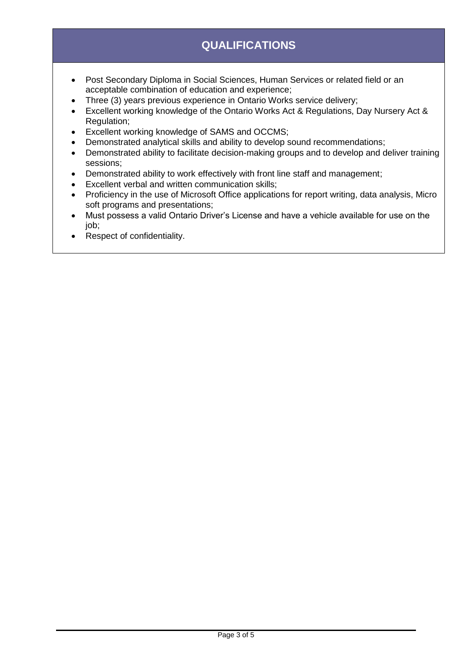# **QUALIFICATIONS**

- Post Secondary Diploma in Social Sciences, Human Services or related field or an acceptable combination of education and experience;
- Three (3) years previous experience in Ontario Works service delivery;
- Excellent working knowledge of the Ontario Works Act & Regulations, Day Nursery Act & Regulation;
- Excellent working knowledge of SAMS and OCCMS;
- Demonstrated analytical skills and ability to develop sound recommendations;
- Demonstrated ability to facilitate decision-making groups and to develop and deliver training sessions;
- Demonstrated ability to work effectively with front line staff and management;
- Excellent verbal and written communication skills;
- Proficiency in the use of Microsoft Office applications for report writing, data analysis, Micro soft programs and presentations;
- Must possess a valid Ontario Driver's License and have a vehicle available for use on the job;
- Respect of confidentiality.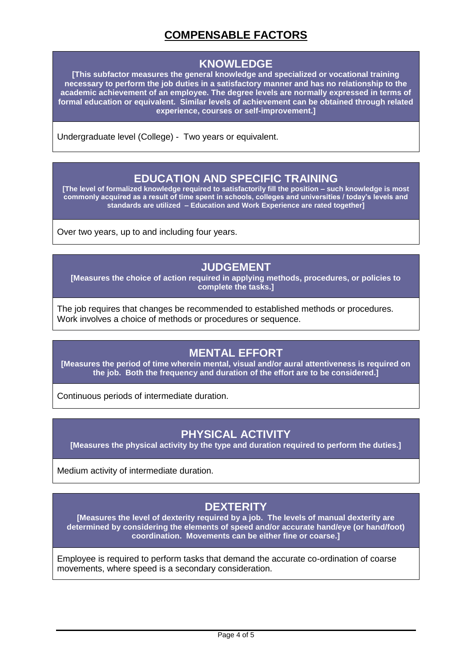# **COMPENSABLE FACTORS**

#### **KNOWLEDGE**

**[This subfactor measures the general knowledge and specialized or vocational training necessary to perform the job duties in a satisfactory manner and has no relationship to the academic achievement of an employee. The degree levels are normally expressed in terms of formal education or equivalent. Similar levels of achievement can be obtained through related experience, courses or self-improvement.]**

Undergraduate level (College) - Two years or equivalent.

#### **EDUCATION AND SPECIFIC TRAINING**

**[The level of formalized knowledge required to satisfactorily fill the position – such knowledge is most commonly acquired as a result of time spent in schools, colleges and universities / today's levels and standards are utilized – Education and Work Experience are rated together]**

Over two years, up to and including four years.

### **JUDGEMENT**

**[Measures the choice of action required in applying methods, procedures, or policies to complete the tasks.]**

The job requires that changes be recommended to established methods or procedures. Work involves a choice of methods or procedures or sequence.

### **MENTAL EFFORT**

**[Measures the period of time wherein mental, visual and/or aural attentiveness is required on the job. Both the frequency and duration of the effort are to be considered.]**

Continuous periods of intermediate duration.

### **PHYSICAL ACTIVITY**

**[Measures the physical activity by the type and duration required to perform the duties.]**

Medium activity of intermediate duration.

#### **DEXTERITY**

**[Measures the level of dexterity required by a job. The levels of manual dexterity are determined by considering the elements of speed and/or accurate hand/eye (or hand/foot) coordination. Movements can be either fine or coarse.]**

Employee is required to perform tasks that demand the accurate co-ordination of coarse movements, where speed is a secondary consideration.